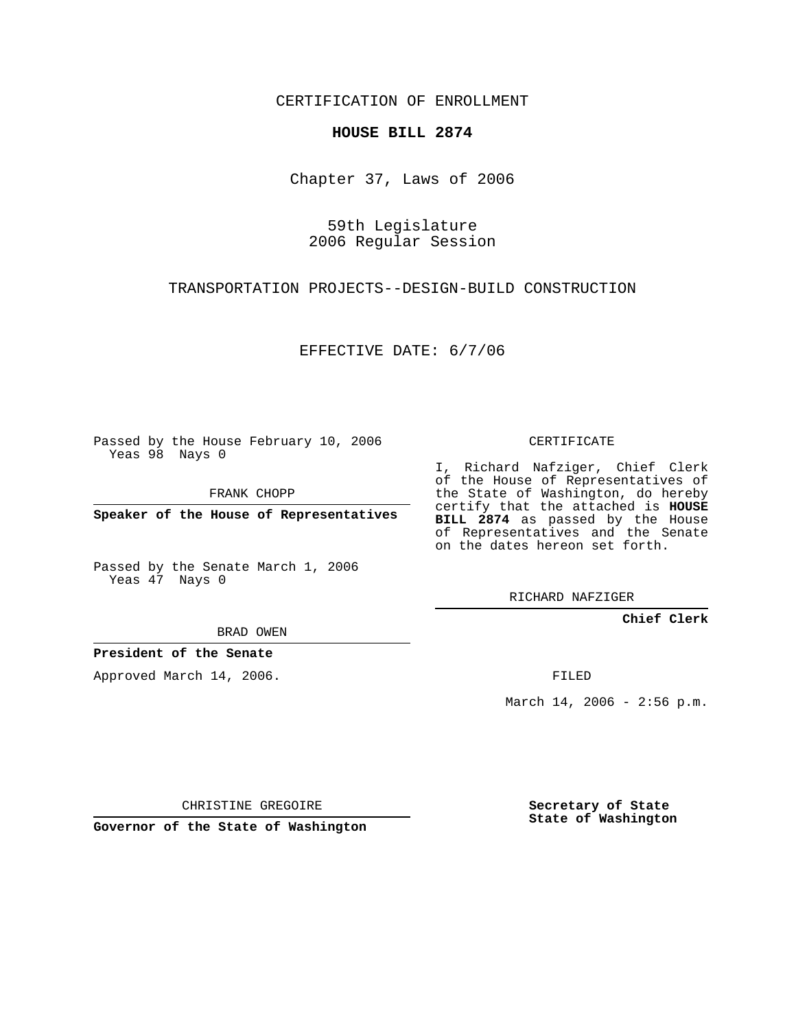CERTIFICATION OF ENROLLMENT

## **HOUSE BILL 2874**

Chapter 37, Laws of 2006

59th Legislature 2006 Regular Session

TRANSPORTATION PROJECTS--DESIGN-BUILD CONSTRUCTION

EFFECTIVE DATE: 6/7/06

Passed by the House February 10, 2006 Yeas 98 Nays 0

FRANK CHOPP

**Speaker of the House of Representatives**

Passed by the Senate March 1, 2006 Yeas 47 Nays 0

RICHARD NAFZIGER

**Chief Clerk**

BRAD OWEN

**President of the Senate**

Approved March 14, 2006.

FILED

March 14, 2006 - 2:56 p.m.

CHRISTINE GREGOIRE

**Governor of the State of Washington**

**Secretary of State State of Washington**

## CERTIFICATE I, Richard Nafziger, Chief Clerk

of the House of Representatives of

the State of Washington, do hereby certify that the attached is **HOUSE BILL 2874** as passed by the House of Representatives and the Senate on the dates hereon set forth.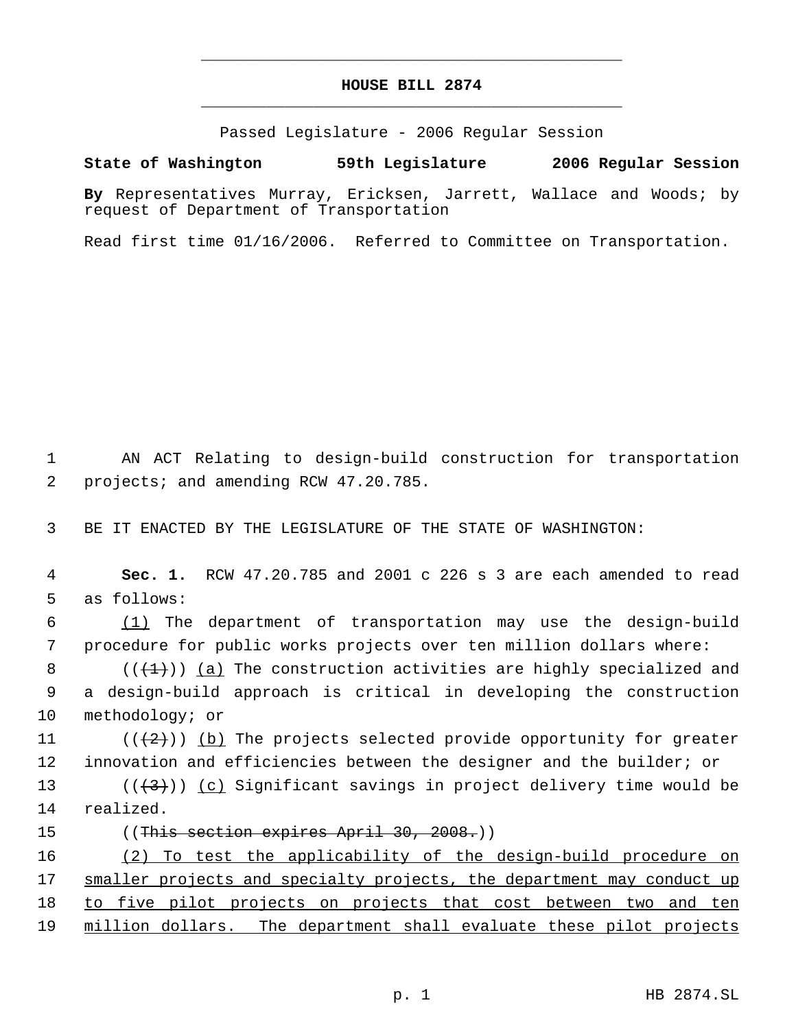## **HOUSE BILL 2874** \_\_\_\_\_\_\_\_\_\_\_\_\_\_\_\_\_\_\_\_\_\_\_\_\_\_\_\_\_\_\_\_\_\_\_\_\_\_\_\_\_\_\_\_\_

\_\_\_\_\_\_\_\_\_\_\_\_\_\_\_\_\_\_\_\_\_\_\_\_\_\_\_\_\_\_\_\_\_\_\_\_\_\_\_\_\_\_\_\_\_

Passed Legislature - 2006 Regular Session

## **State of Washington 59th Legislature 2006 Regular Session**

**By** Representatives Murray, Ericksen, Jarrett, Wallace and Woods; by request of Department of Transportation

Read first time 01/16/2006. Referred to Committee on Transportation.

 1 AN ACT Relating to design-build construction for transportation 2 projects; and amending RCW 47.20.785.

3 BE IT ENACTED BY THE LEGISLATURE OF THE STATE OF WASHINGTON:

 4 **Sec. 1.** RCW 47.20.785 and 2001 c 226 s 3 are each amended to read 5 as follows:

 6 (1) The department of transportation may use the design-build 7 procedure for public works projects over ten million dollars where:

8  $($   $($   $($   $\{$   $\}$   $)$   $)$   $($   $a)$  The construction activities are highly specialized and 9 a design-build approach is critical in developing the construction 10 methodology; or

11  $((+2)^n)$  (b) The projects selected provide opportunity for greater 12 innovation and efficiencies between the designer and the builder; or

13 ( $(\langle 3 \rangle)$ ) (c) Significant savings in project delivery time would be 14 realized.

- 
- 15 ((<del>This section expires April 30, 2008.</del>))

16 (2) To test the applicability of the design-build procedure on 17 smaller projects and specialty projects, the department may conduct up 18 to five pilot projects on projects that cost between two and ten 19 million dollars. The department shall evaluate these pilot projects